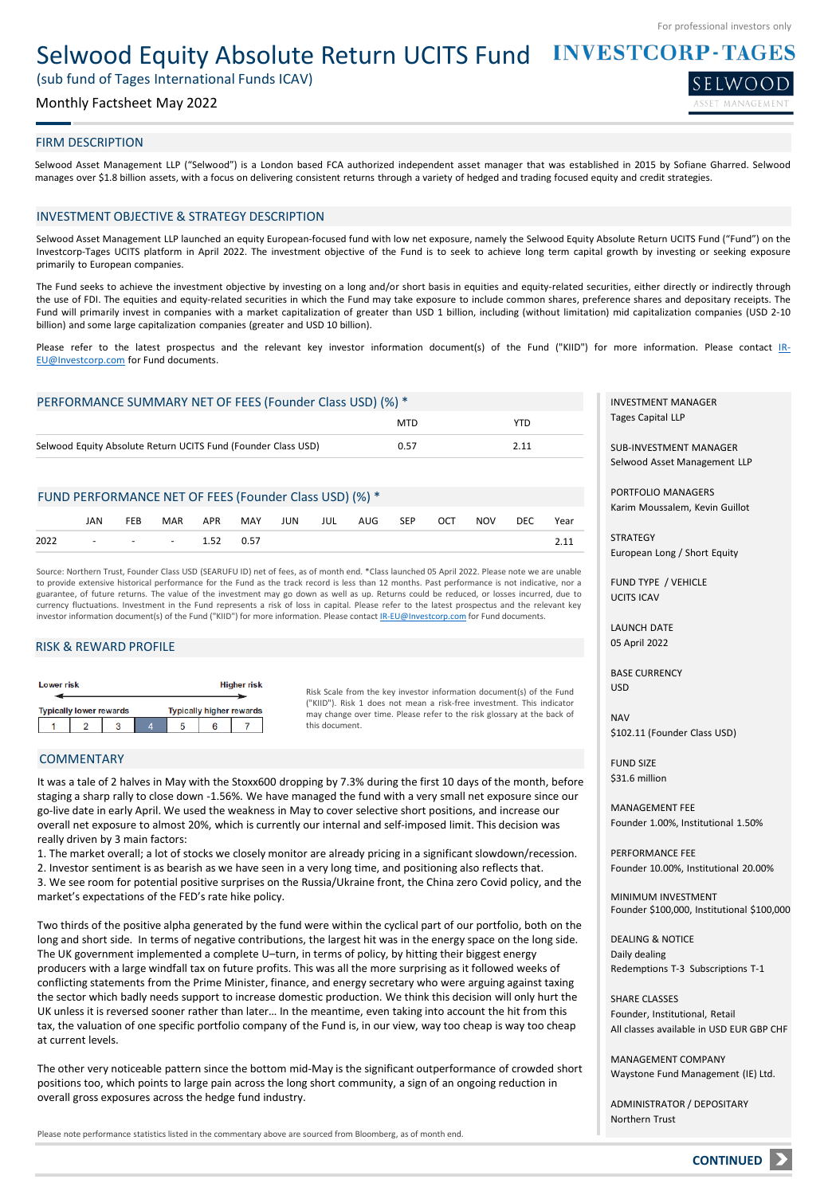SELWOOD

## Selwood Equity Absolute Return UCITS Fund INVESTCORP-TAGES

(sub fund of Tages International Funds ICAV)

## Monthly Factsheet May 2022

## FIRM DESCRIPTION

Selwood Asset Management LLP ("Selwood") is a London based FCA authorized independent asset manager that was established in 2015 by Sofiane Gharred. Selwood manages over \$1.8 billion assets, with a focus on delivering consistent returns through a variety of hedged and trading focused equity and credit strategies.

## INVESTMENT OBJECTIVE & STRATEGY DESCRIPTION

Selwood Asset Management LLP launched an equity European-focused fund with low net exposure, namely the Selwood Equity Absolute Return UCITS Fund ("Fund") on the Investcorp-Tages UCITS platform in April 2022. The investment objective of the Fund is to seek to achieve long term capital growth by investing or seeking exposure primarily to European companies.

The Fund seeks to achieve the investment objective by investing on a long and/or short basis in equities and equity-related securities, either directly or indirectly through the use of FDI. The equities and equity-related securities in which the Fund may take exposure to include common shares, preference shares and depositary receipts. The Fund will primarily invest in companies with a market capitalization of greater than USD 1 billion, including (without limitation) mid capitalization companies (USD 2-10 billion) and some large capitalization companies (greater and USD 10 billion).

Please refer to the latest prospectus and the relevant key investor information document(s) of the Fund ("KIID") for more information. Please contact IR-[EU@Investcorp.com](mailto:IR-EU@Investcorp.com) for Fund documents.

## PERFORMANCE SUMMARY NET OF FEES (Founder Class USD) (%) \*

|                                                               | <b>MTD</b> |  |
|---------------------------------------------------------------|------------|--|
| Selwood Equity Absolute Return UCITS Fund (Founder Class USD) | 0.57       |  |

## FUND PERFORMANCE NET OF FEES (Founder Class USD) (%) \*

|                      | JAN | FEB |  |  | MAR APR MAY JUN JUL AUG SEP OCT NOV DEC |  |  | Year |
|----------------------|-----|-----|--|--|-----------------------------------------|--|--|------|
| 2022 - - - 1.52 0.57 |     |     |  |  |                                         |  |  |      |

Source: Northern Trust, Founder Class USD (SEARUFU ID) net of fees, as of month end. \*Class launched 05 April 2022. Please note we are unable to provide extensive historical performance for the Fund as the track record is less than 12 months. Past performance is not indicative, nor a guarantee, of future returns. The value of the investment may go down as well as up. Returns could be reduced, or losses incurred, due to currency fluctuations. Investment in the Fund represents a risk of loss in capital. Please refer to the latest prospectus and the relevant key investor information document(s) of the Fund ("KIID") for more information. Please contact [IR-EU@Investcorp.com](mailto:IR-EU@Investcorp.com) for Fund documents.

## RISK & REWARD PROFILE

| <b>Lower risk</b> |  |                                |  |  |                                 | <b>Higher risk</b> |  |
|-------------------|--|--------------------------------|--|--|---------------------------------|--------------------|--|
|                   |  | <b>Typically lower rewards</b> |  |  | <b>Typically higher rewards</b> |                    |  |
|                   |  |                                |  |  |                                 |                    |  |

Risk Scale from the key investor information document(s) of the Fund ("KIID"). Risk 1 does not mean a risk-free investment. This indicator may change over time. Please refer to the risk glossary at the back of this document.

## COMMENTARY

It was a tale of 2 halves in May with the Stoxx600 dropping by 7.3% during the first 10 days of the month, before staging a sharp rally to close down -1.56%. We have managed the fund with a very small net exposure since our go-live date in early April. We used the weakness in May to cover selective short positions, and increase our overall net exposure to almost 20%, which is currently our internal and self-imposed limit. This decision was really driven by 3 main factors:

1. The market overall; a lot of stocks we closely monitor are already pricing in a significant slowdown/recession. 2. Investor sentiment is as bearish as we have seen in a very long time, and positioning also reflects that. 3. We see room for potential positive surprises on the Russia/Ukraine front, the China zero Covid policy, and the market's expectations of the FED's rate hike policy.

Two thirds of the positive alpha generated by the fund were within the cyclical part of our portfolio, both on the long and short side. In terms of negative contributions, the largest hit was in the energy space on the long side. The UK government implemented a complete U–turn, in terms of policy, by hitting their biggest energy producers with a large windfall tax on future profits. This was all the more surprising as it followed weeks of conflicting statements from the Prime Minister, finance, and energy secretary who were arguing against taxing the sector which badly needs support to increase domestic production. We think this decision will only hurt the UK unless it is reversed sooner rather than later… In the meantime, even taking into account the hit from this tax, the valuation of one specific portfolio company of the Fund is, in our view, way too cheap is way too cheap at current levels.

The other very noticeable pattern since the bottom mid-May is the significant outperformance of crowded short positions too, which points to large pain across the long short community, a sign of an ongoing reduction in overall gross exposures across the hedge fund industry.

Please note performance statistics listed in the commentary above are sourced from Bloomberg, as of month end.

INVESTMENT MANAGER Tages Capital LLP

SUB-INVESTMENT MANAGER Selwood Asset Management LLP

PORTFOLIO MANAGERS Karim Moussalem, Kevin Guillot

**STRATEGY** European Long / Short Equity

FUND TYPE / VEHICLE UCITS ICAV

LAUNCH DATE 05 April 2022

BASE CURRENCY USD

NAV \$102.11 (Founder Class USD)

FUND SIZE \$31.6 million

MANAGEMENT FEE Founder 1.00%, Institutional 1.50%

PERFORMANCE FEE Founder 10.00%, Institutional 20.00%

MINIMUM INVESTMENT Founder \$100,000, Institutional \$100,000

DEALING & NOTICE Daily dealing Redemptions T-3 Subscriptions T-1

SHARE CLASSES Founder, Institutional, Retail All classes available in USD EUR GBP CHF

MANAGEMENT COMPANY Waystone Fund Management (IE) Ltd.

ADMINISTRATOR / DEPOSITARY Northern Trust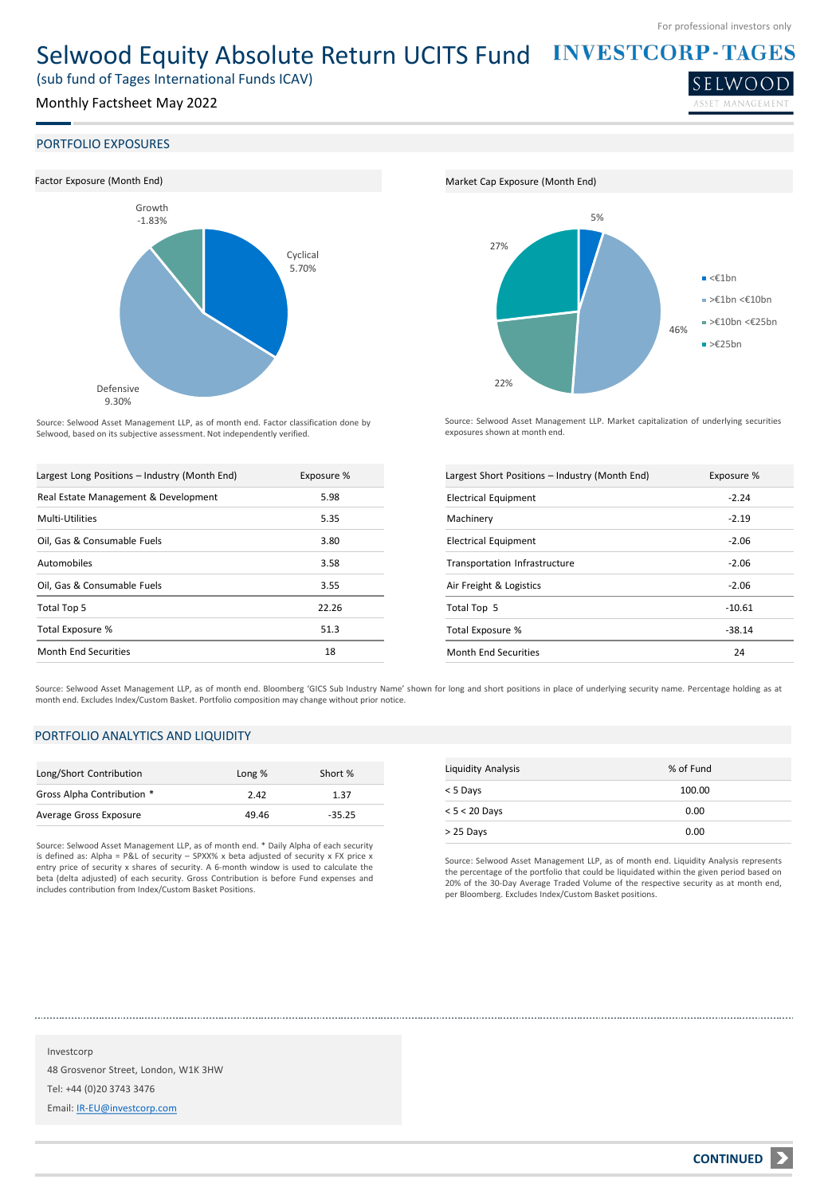SELWOO

# Selwood Equity Absolute Return UCITS Fund INVESTCORP-TAGES

(sub fund of Tages International Funds ICAV)

## Monthly Factsheet May 2022

## PORTFOLIO EXPOSURES



Source: Selwood Asset Management LLP, as of month end. Factor classification done by Selwood, based on its subjective assessment. Not independently verified.

| Largest Long Positions - Industry (Month End) | Exposure % |
|-----------------------------------------------|------------|
| Real Estate Management & Development          | 5.98       |
| Multi-Utilities                               | 5.35       |
| Oil, Gas & Consumable Fuels                   | 3.80       |
| Automobiles                                   | 3.58       |
| Oil, Gas & Consumable Fuels                   | 3.55       |
| Total Top 5                                   | 22.26      |
| Total Exposure %                              | 51.3       |
| Month End Securities                          | 18         |





Source: Selwood Asset Management LLP. Market capitalization of underlying securities exposures shown at month end.

| Largest Short Positions - Industry (Month End) | Exposure % |
|------------------------------------------------|------------|
| <b>Electrical Equipment</b>                    | $-2.24$    |
| Machinery                                      | $-2.19$    |
| <b>Electrical Equipment</b>                    | $-2.06$    |
| Transportation Infrastructure                  | $-2.06$    |
| Air Freight & Logistics                        | $-2.06$    |
| Total Top 5                                    | $-10.61$   |
| Total Exposure %                               | -38.14     |
| Month End Securities                           | 24         |

Source: Selwood Asset Management LLP, as of month end. Bloomberg 'GICS Sub Industry Name' shown for long and short positions in place of underlying security name. Percentage holding as at month end. Excludes Index/Custom Basket. Portfolio composition may change without prior notice.

## PORTFOLIO ANALYTICS AND LIQUIDITY

| Long/Short Contribution    | Long % | Short %  |
|----------------------------|--------|----------|
| Gross Alpha Contribution * | 2.42   | 1.37     |
| Average Gross Exposure     | 49.46  | $-35.25$ |

Source: Selwood Asset Management LLP, as of month end. \* Daily Alpha of each security is defined as: Alpha = P&L of security – SPXX% x beta adjusted of security x FX price x entry price of security x shares of security. A 6-month window is used to calculate the beta (delta adjusted) of each security. Gross Contribution is before Fund expenses and includes contribution from Index/Custom Basket Positions.

| <b>Liquidity Analysis</b> | % of Fund |
|---------------------------|-----------|
| < 5 Days                  | 100.00    |
| $< 5 < 20$ Days           | 0.00      |
| > 25 Days                 | 0.00      |

Source: Selwood Asset Management LLP, as of month end. Liquidity Analysis represents the percentage of the portfolio that could be liquidated within the given period based on 20% of the 30-Day Average Traded Volume of the respective security as at month end, per Bloomberg. Excludes Index/Custom Basket positions.

Investcorp 48 Grosvenor Street, London, W1K 3HW Tel: +44 (0)20 3743 3476 Email: [IR-EU@investcorp.com](mailto:IR-EU@investcorp.com)